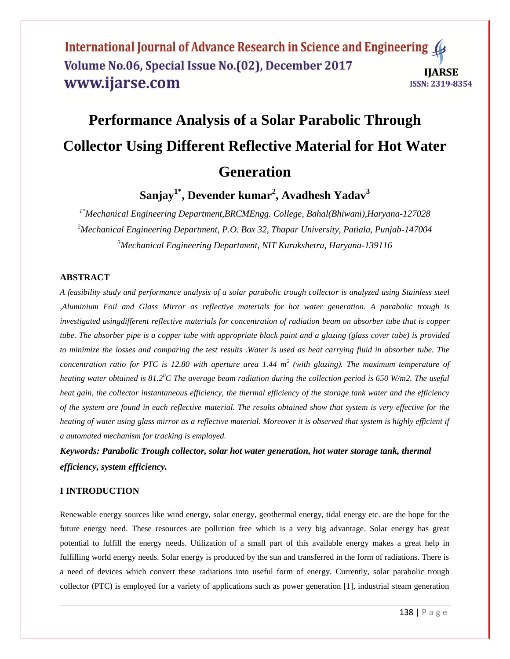# **Performance Analysis of a Solar Parabolic Through Collector Using Different Reflective Material for Hot Water Generation**

**Sanjay1\* , Devender kumar<sup>2</sup> , Avadhesh Yadav<sup>3</sup>**

*1\*Mechanical Engineering Department,BRCMEngg. College, Bahal(Bhiwani),Haryana-127028 <sup>2</sup>Mechanical Engineering Department, P.O. Box 32, Thapar University, Patiala, Punjab-147004 <sup>3</sup>Mechanical Engineering Department, NIT Kurukshetra, Haryana-139116*

#### **ABSTRACT**

*A feasibility study and performance analysis of a solar parabolic trough collector is analyzed using Stainless steel ,Aluminium Foil and Glass Mirror as reflective materials for hot water generation. A parabolic trough is investigated usingdifferent reflective materials for concentration of radiation beam on absorber tube that is copper tube. The absorber pipe is a copper tube with appropriate black paint and a glazing (glass cover tube) is provided to minimize the losses and comparing the test results .Water is used as heat carrying fluid in absorber tube. The concentration ratio for PTC is 12.80 with aperture area 1.44 m<sup>2</sup> (with glazing). The maximum temperature of heating water obtained is 81.2<sup>0</sup>C The average beam radiation during the collection period is 650 W/m2. The useful heat gain, the collector instantaneous efficiency, the thermal efficiency of the storage tank water and the efficiency of the system are found in each reflective material. The results obtained show that system is very effective for the heating of water using glass mirror as a reflective material. Moreover it is observed that system is highly efficient if a automated mechanism for tracking is employed.*

*Keywords: Parabolic Trough collector, solar hot water generation, hot water storage tank, thermal efficiency, system efficiency.*

#### **I INTRODUCTION**

Renewable energy sources like wind energy, solar energy, geothermal energy, tidal energy etc. are the hope for the future energy need. These resources are pollution free which is a very big advantage. Solar energy has great potential to fulfill the energy needs. Utilization of a small part of this available energy makes a great help in fulfilling world energy needs. Solar energy is produced by the sun and transferred in the form of radiations. There is a need of devices which convert these radiations into useful form of energy. Currently, solar parabolic trough collector (PTC) is employed for a variety of applications such as power generation [1], industrial steam generation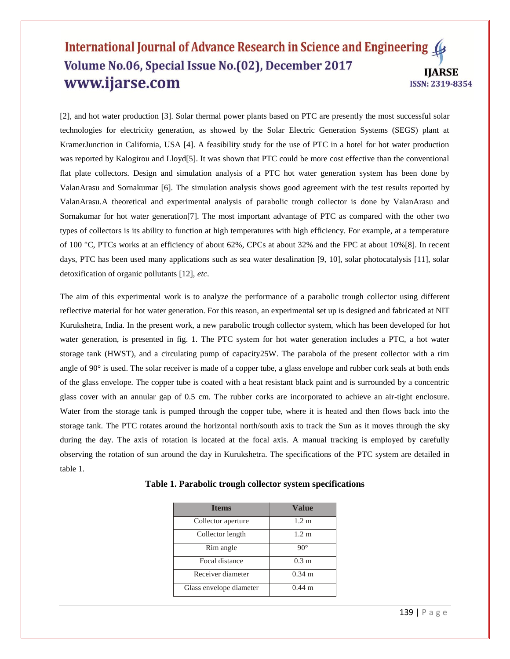[2], and hot water production [3]. Solar thermal power plants based on PTC are presently the most successful solar technologies for electricity generation, as showed by the Solar Electric Generation Systems (SEGS) plant at KramerJunction in California, USA [4]. A feasibility study for the use of PTC in a hotel for hot water production was reported by Kalogirou and Lloyd[5]. It was shown that PTC could be more cost effective than the conventional flat plate collectors. Design and simulation analysis of a PTC hot water generation system has been done by ValanArasu and Sornakumar [6]. The simulation analysis shows good agreement with the test results reported by ValanArasu.A theoretical and experimental analysis of parabolic trough collector is done by ValanArasu and Sornakumar for hot water generation[7]. The most important advantage of PTC as compared with the other two types of collectors is its ability to function at high temperatures with high efficiency. For example, at a temperature of 100 °C, PTCs works at an efficiency of about 62%, CPCs at about 32% and the FPC at about 10%[8]. In recent days, PTC has been used many applications such as sea water desalination [9, 10], solar photocatalysis [11], solar detoxification of organic pollutants [12], *etc*.

The aim of this experimental work is to analyze the performance of a parabolic trough collector using different reflective material for hot water generation. For this reason, an experimental set up is designed and fabricated at NIT Kurukshetra, India. In the present work, a new parabolic trough collector system, which has been developed for hot water generation, is presented in fig. 1. The PTC system for hot water generation includes a PTC, a hot water storage tank (HWST), and a circulating pump of capacity25W. The parabola of the present collector with a rim angle of 90° is used. The solar receiver is made of a copper tube, a glass envelope and rubber cork seals at both ends of the glass envelope. The copper tube is coated with a heat resistant black paint and is surrounded by a concentric glass cover with an annular gap of 0.5 cm. The rubber corks are incorporated to achieve an air-tight enclosure. Water from the storage tank is pumped through the copper tube, where it is heated and then flows back into the storage tank. The PTC rotates around the horizontal north/south axis to track the Sun as it moves through the sky during the day. The axis of rotation is located at the focal axis. A manual tracking is employed by carefully observing the rotation of sun around the day in Kurukshetra. The specifications of the PTC system are detailed in table 1.

| <b>Ifems</b>            | <b>Value</b>         |
|-------------------------|----------------------|
| Collector aperture      | 1.2 <sub>m</sub>     |
| Collector length        | $1.2 \text{ m}$      |
| Rim angle               | $90^\circ$           |
| Focal distance          | 0.3 <sub>m</sub>     |
| Receiver diameter       | $0.34 \text{ m}$     |
| Glass envelope diameter | $0.44 \; \mathrm{m}$ |

|  |  |  | Table 1. Parabolic trough collector system specifications |
|--|--|--|-----------------------------------------------------------|
|  |  |  |                                                           |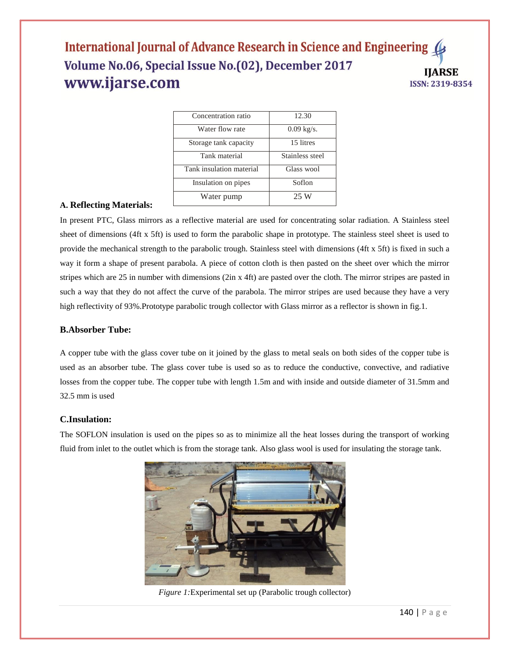| Concentration ratio      | 12.30                |
|--------------------------|----------------------|
| Water flow rate          | $0.09 \text{ kg/s}.$ |
| Storage tank capacity    | 15 litres            |
| Tank material            | Stainless steel      |
| Tank insulation material | Glass wool           |
| Insulation on pipes      | Soflon               |
| Water pump               | 25 W                 |

#### **A. Reflecting Materials:**

In present PTC, Glass mirrors as a reflective material are used for concentrating solar radiation. A Stainless steel sheet of dimensions (4ft x 5ft) is used to form the parabolic shape in prototype. The stainless steel sheet is used to provide the mechanical strength to the parabolic trough. Stainless steel with dimensions (4ft x 5ft) is fixed in such a way it form a shape of present parabola. A piece of cotton cloth is then pasted on the sheet over which the mirror stripes which are 25 in number with dimensions (2in x 4ft) are pasted over the cloth. The mirror stripes are pasted in such a way that they do not affect the curve of the parabola. The mirror stripes are used because they have a very high reflectivity of 93%.Prototype parabolic trough collector with Glass mirror as a reflector is shown in fig.1.

#### **B.Absorber Tube:**

A copper tube with the glass cover tube on it joined by the glass to metal seals on both sides of the copper tube is used as an absorber tube. The glass cover tube is used so as to reduce the conductive, convective, and radiative losses from the copper tube. The copper tube with length 1.5m and with inside and outside diameter of 31.5mm and 32.5 mm is used

#### **C.Insulation:**

The SOFLON insulation is used on the pipes so as to minimize all the heat losses during the transport of working fluid from inlet to the outlet which is from the storage tank. Also glass wool is used for insulating the storage tank.



*Figure 1:*Experimental set up (Parabolic trough collector)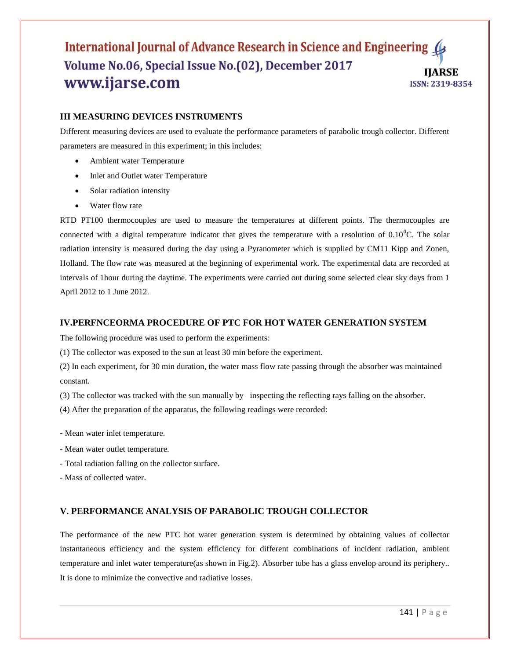# **III MEASURING DEVICES INSTRUMENTS**

Different measuring devices are used to evaluate the performance parameters of parabolic trough collector. Different parameters are measured in this experiment; in this includes:

- Ambient water Temperature
- Inlet and Outlet water Temperature
- Solar radiation intensity
- Water flow rate

RTD PT100 thermocouples are used to measure the temperatures at different points. The thermocouples are connected with a digital temperature indicator that gives the temperature with a resolution of  $0.10^{\circ}$ C. The solar radiation intensity is measured during the day using a Pyranometer which is supplied by CM11 Kipp and Zonen, Holland. The flow rate was measured at the beginning of experimental work. The experimental data are recorded at intervals of 1hour during the daytime. The experiments were carried out during some selected clear sky days from 1 April 2012 to 1 June 2012.

# **IV.PERFNCEORMA PROCEDURE OF PTC FOR HOT WATER GENERATION SYSTEM**

The following procedure was used to perform the experiments:

(1) The collector was exposed to the sun at least 30 min before the experiment.

(2) In each experiment, for 30 min duration, the water mass flow rate passing through the absorber was maintained constant.

(3) The collector was tracked with the sun manually by inspecting the reflecting rays falling on the absorber.

(4) After the preparation of the apparatus, the following readings were recorded:

- Mean water inlet temperature.
- Mean water outlet temperature.
- Total radiation falling on the collector surface.

- Mass of collected water.

#### **V. PERFORMANCE ANALYSIS OF PARABOLIC TROUGH COLLECTOR**

The performance of the new PTC hot water generation system is determined by obtaining values of collector instantaneous efficiency and the system efficiency for different combinations of incident radiation, ambient temperature and inlet water temperature(as shown in Fig.2). Absorber tube has a glass envelop around its periphery.. It is done to minimize the convective and radiative losses.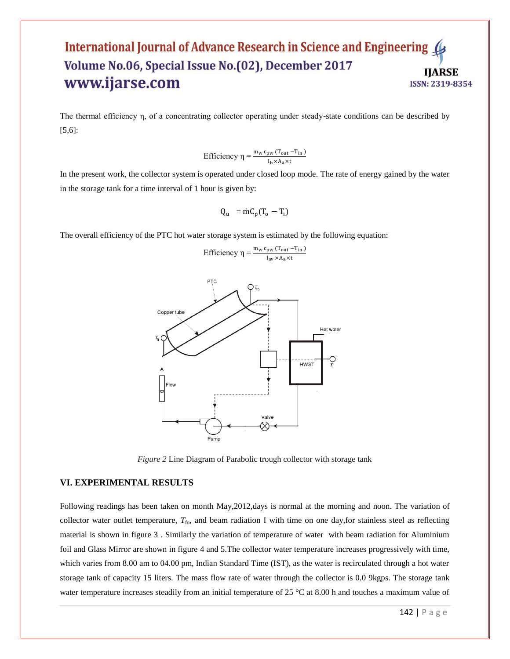The thermal efficiency η, of a concentrating collector operating under steady-state conditions can be described by [5,6]:

Efficiency  $\eta = \frac{m_w c_{pw} (T_{out} - T_{in})}{I_b \times A_a \times t}$ 

In the present work, the collector system is operated under closed loop mode. The rate of energy gained by the water in the storage tank for a time interval of 1 hour is given by:

$$
Q_u = \dot{m} C_p (T_o - T_i)
$$

The overall efficiency of the PTC hot water storage system is estimated by the following equation:





*Figure 2* Line Diagram of Parabolic trough collector with storage tank

#### **VI. EXPERIMENTAL RESULTS**

Following readings has been taken on month May,2012,days is normal at the morning and noon. The variation of collector water outlet temperature,  $T_{\text{fo}}$ , and beam radiation I with time on one day, for stainless steel as reflecting material is shown in figure 3 . Similarly the variation of temperature of water with beam radiation for Aluminium foil and Glass Mirror are shown in figure 4 and 5.The collector water temperature increases progressively with time, which varies from 8.00 am to 04.00 pm, Indian Standard Time (IST), as the water is recirculated through a hot water storage tank of capacity 15 liters. The mass flow rate of water through the collector is 0.0 9kgps. The storage tank water temperature increases steadily from an initial temperature of 25 °C at 8.00 h and touches a maximum value of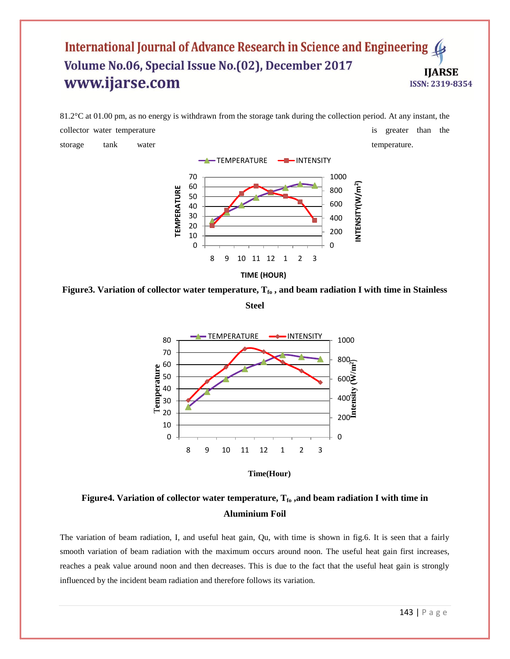$81.2^{\circ}$ C at 01.00 pm, as no energy is withdrawn from the storage tank during the collection period. At any instant, the collector water temperature is greater than the collector water temperature is greater than the storage tank water temperature. -TEMPERATURE - INTENSITY



**Figure3. Variation of collector water temperature, Tfo , and beam radiation I with time in Stainless Steel**





# **Figure4. Variation of collector water temperature, Tfo ,and beam radiation I with time in Aluminium Foil**

The variation of beam radiation, I, and useful heat gain, Qu, with time is shown in fig.6. It is seen that a fairly smooth variation of beam radiation with the maximum occurs around noon. The useful heat gain first increases, reaches a peak value around noon and then decreases. This is due to the fact that the useful heat gain is strongly influenced by the incident beam radiation and therefore follows its variation.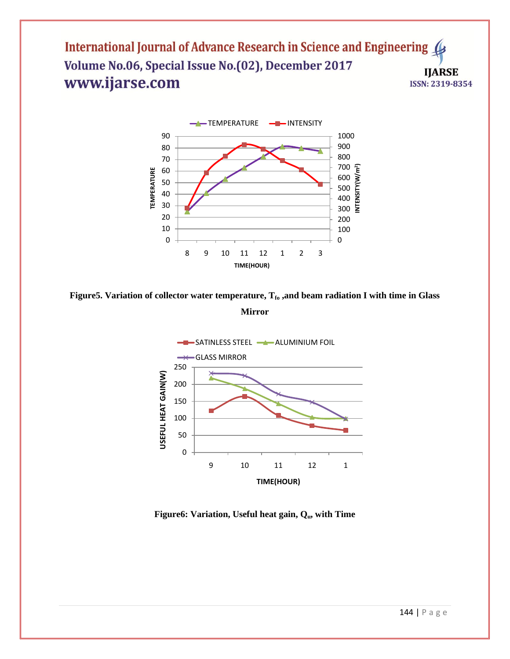

**Figure5. Variation of collector water temperature, Tfo ,and beam radiation I with time in Glass Mirror**



**Figure6: Variation, Useful heat gain, Qu, with Time**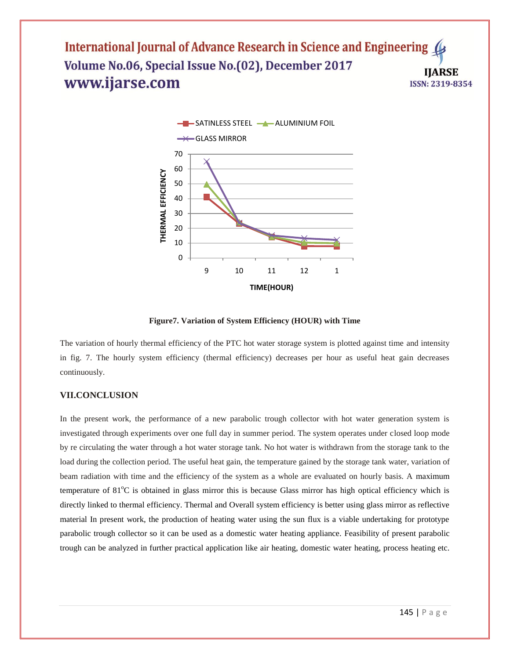

**Figure7. Variation of System Efficiency (HOUR) with Time**

The variation of hourly thermal efficiency of the PTC hot water storage system is plotted against time and intensity in fig. 7. The hourly system efficiency (thermal efficiency) decreases per hour as useful heat gain decreases continuously.

#### **VII.CONCLUSION**

In the present work, the performance of a new parabolic trough collector with hot water generation system is investigated through experiments over one full day in summer period. The system operates under closed loop mode by re circulating the water through a hot water storage tank. No hot water is withdrawn from the storage tank to the load during the collection period. The useful heat gain, the temperature gained by the storage tank water, variation of beam radiation with time and the efficiency of the system as a whole are evaluated on hourly basis. A maximum temperature of 81<sup>o</sup>C is obtained in glass mirror this is because Glass mirror has high optical efficiency which is directly linked to thermal efficiency. Thermal and Overall system efficiency is better using glass mirror as reflective material In present work, the production of heating water using the sun flux is a viable undertaking for prototype parabolic trough collector so it can be used as a domestic water heating appliance. Feasibility of present parabolic trough can be analyzed in further practical application like air heating, domestic water heating, process heating etc.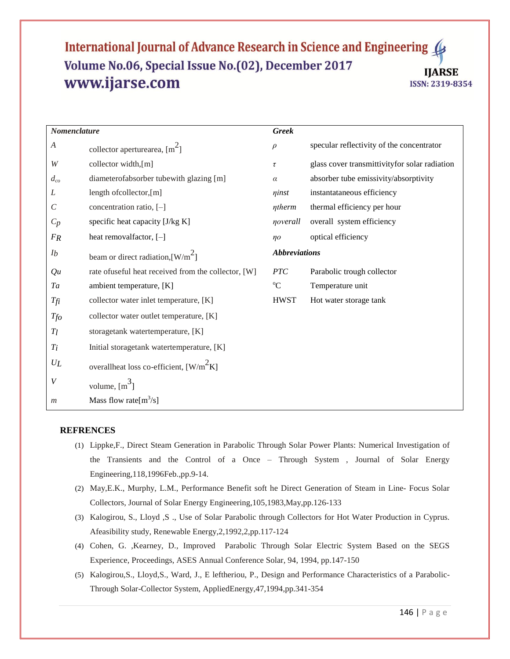| Nomenclature   |                                                      | <b>Greek</b> |                                                |  |
|----------------|------------------------------------------------------|--------------|------------------------------------------------|--|
| A              | collector aperturearea, $\lceil m^2 \rceil$          | $\rho$       | specular reflectivity of the concentrator      |  |
| W              | collector width,[m]                                  | τ            | glass cover transmittivity for solar radiation |  |
| $d_{co}$       | diameterofabsorber tubewith glazing [m]              | $\alpha$     | absorber tube emissivity/absorptivity          |  |
| L              | length ofcollector,[m]                               | ninst        | instantataneous efficiency                     |  |
| $\mathcal C$   | concentration ratio, [-]                             | ntherm       | thermal efficiency per hour                    |  |
| $C_p$          | specific heat capacity [J/kg K]                      | noverall     | overall system efficiency                      |  |
| FR             | heat removal factor, [-]                             | $\eta$ o     | optical efficiency                             |  |
| I <sub>b</sub> | beam or direct radiation, $\left[W/m^2\right]$       |              | <b>Abbreviations</b>                           |  |
| Qu             | rate of useful heat received from the collector, [W] | <b>PTC</b>   | Parabolic trough collector                     |  |
| Ta             | ambient temperature, [K]                             | $\rm ^{o}C$  | Temperature unit                               |  |
| Tfi            | collector water inlet temperature, [K]               | <b>HWST</b>  | Hot water storage tank                         |  |
| $T_{f0}$       | collector water outlet temperature, [K]              |              |                                                |  |
| $T_l$          | storagetank watertemperature, [K]                    |              |                                                |  |
| $T_i$          | Initial storagetank watertemperature, [K]            |              |                                                |  |
| $U_L$          | overallheat loss co-efficient, $[W/m^2K]$            |              |                                                |  |
| V              | volume, $\lfloor m^3 \rfloor$                        |              |                                                |  |
| m              | Mass flow rate $[m^3/s]$                             |              |                                                |  |

#### **REFRENCES**

- (1) Lippke,F., Direct Steam Generation in Parabolic Through Solar Power Plants: Numerical Investigation of the Transients and the Control of a Once – Through System , Journal of Solar Energy Engineering,118,1996Feb.,pp.9-14.
- (2) May,E.K., Murphy, L.M., Performance Benefit soft he Direct Generation of Steam in Line- Focus Solar Collectors, Journal of Solar Energy Engineering,105,1983,May,pp.126-133
- (3) Kalogirou, S., Lloyd ,S ., Use of Solar Parabolic through Collectors for Hot Water Production in Cyprus. Afeasibility study, Renewable Energy,2,1992,2,pp.117-124
- (4) Cohen, G. ,Kearney, D., Improved Parabolic Through Solar Electric System Based on the SEGS Experience, Proceedings, ASES Annual Conference Solar, 94, 1994, pp.147-150
- (5) Kalogirou,S., Lloyd,S., Ward, J., E leftheriou, P., Design and Performance Characteristics of a Parabolic-Through Solar-Collector System, AppliedEnergy,47,1994,pp.341-354